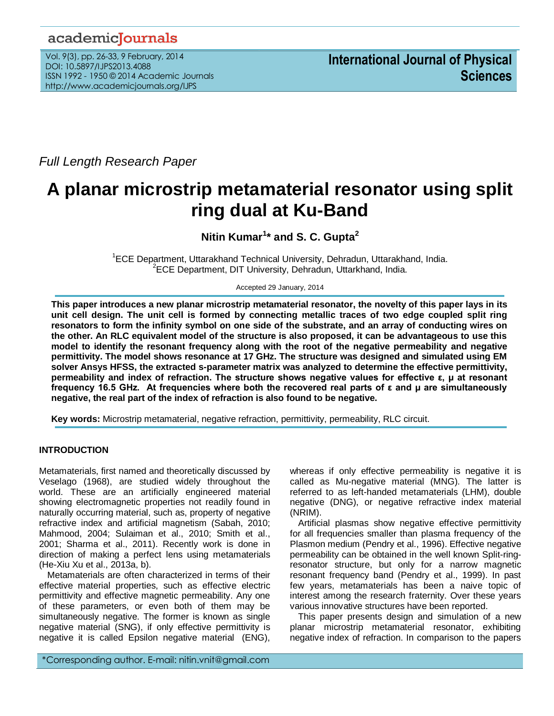# academicJournals

Vol. 9(3), pp. 26-33, 9 February, 2014 DOI: 10.5897/IJPS2013.4088 ISSN 1992 - 1950 © 2014 Academic Journals http://www.academicjournals.org/IJPS

*Full Length Research Paper*

# **A planar microstrip metamaterial resonator using split ring dual at Ku-Band**

**Nitin Kumar<sup>1</sup> \* and S. C. Gupta<sup>2</sup>**

<sup>1</sup>ECE Department, Uttarakhand Technical University, Dehradun, Uttarakhand, India. <sup>2</sup>ECE Department, DIT University, Dehradun, Uttarkhand, India.

Accepted 29 January, 2014

**This paper introduces a new planar microstrip metamaterial resonator, the novelty of this paper lays in its unit cell design. The unit cell is formed by connecting metallic traces of two edge coupled split ring resonators to form the infinity symbol on one side of the substrate, and an array of conducting wires on the other. An RLC equivalent model of the structure is also proposed, it can be advantageous to use this model to identify the resonant frequency along with the root of the negative permeability and negative permittivity. The model shows resonance at 17 GHz. The structure was designed and simulated using EM solver Ansys HFSS, the extracted s-parameter matrix was analyzed to determine the effective permittivity, permeability and index of refraction. The structure shows negative values for effective ε, µ at resonant frequency 16.5 GHz. At frequencies where both the recovered real parts of ε and µ are simultaneously negative, the real part of the index of refraction is also found to be negative.**

**Key words:** Microstrip metamaterial, negative refraction, permittivity, permeability, RLC circuit.

# **INTRODUCTION**

Metamaterials, first named and theoretically discussed by Veselago (1968), are studied widely throughout the world. These are an artificially engineered material showing electromagnetic properties not readily found in naturally occurring material, such as, property of negative refractive index and artificial magnetism (Sabah, 2010; Mahmood, 2004; Sulaiman et al., 2010; Smith et al., 2001; Sharma et al., 2011). Recently work is done in direction of making a perfect lens using metamaterials (He-Xiu Xu et al., 2013a, b).

Metamaterials are often characterized in terms of their effective material properties, such as effective electric permittivity and effective magnetic permeability. Any one of these parameters, or even both of them may be simultaneously negative. The former is known as single negative material (SNG), if only effective permittivity is negative it is called Epsilon negative material (ENG), whereas if only effective permeability is negative it is called as Mu-negative material (MNG). The latter is referred to as left-handed metamaterials (LHM), double negative (DNG), or negative refractive index material (NRIM).

Artificial plasmas show negative effective permittivity for all frequencies smaller than plasma frequency of the Plasmon medium (Pendry et al., 1996). Effective negative permeability can be obtained in the well known Split-ringresonator structure, but only for a narrow magnetic resonant frequency band (Pendry et al., 1999). In past few years, metamaterials has been a naive topic of interest among the research fraternity. Over these years various innovative structures have been reported.

This paper presents design and simulation of a new planar microstrip metamaterial resonator, exhibiting negative index of refraction. In comparison to the papers

\*Corresponding author. E-mail: nitin.vnit@gmail.com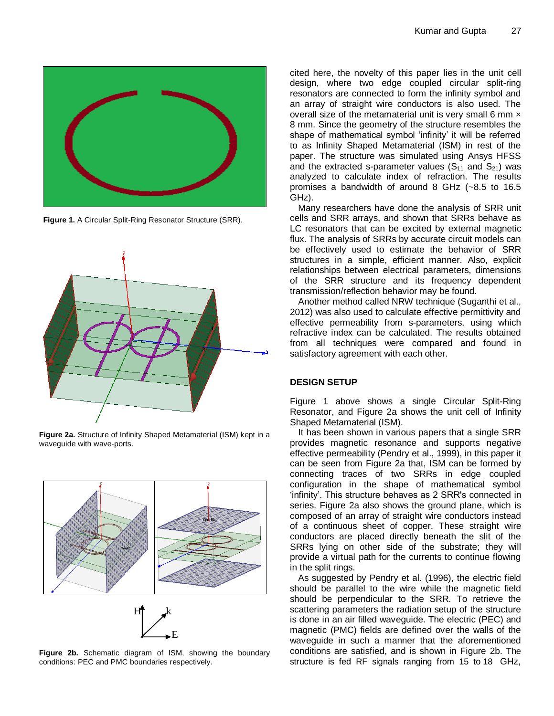

**Figure 1.** A Circular Split-Ring Resonator Structure (SRR).



**Figure 2a.** Structure of Infinity Shaped Metamaterial (ISM) kept in a waveguide with wave-ports.



**Figure 2b.** Schematic diagram of ISM, showing the boundary conditions: PEC and PMC boundaries respectively.

 $\longrightarrow E$ 

cited here, the novelty of this paper lies in the unit cell design, where two edge coupled circular split-ring resonators are connected to form the infinity symbol and an array of straight wire conductors is also used. The overall size of the metamaterial unit is very small 6 mm  $\times$ 8 mm. Since the geometry of the structure resembles the shape of mathematical symbol 'infinity' it will be referred to as Infinity Shaped Metamaterial (ISM) in rest of the paper. The structure was simulated using Ansys HFSS and the extracted s-parameter values  $(S_{11}$  and  $S_{21})$  was analyzed to calculate index of refraction. The results promises a bandwidth of around 8 GHz (~8.5 to 16.5 GHz).

Many researchers have done the analysis of SRR unit cells and SRR arrays, and shown that SRRs behave as LC resonators that can be excited by external magnetic flux. The analysis of SRRs by accurate circuit models can be effectively used to estimate the behavior of SRR structures in a simple, efficient manner. Also, explicit relationships between electrical parameters, dimensions of the SRR structure and its frequency dependent transmission/reflection behavior may be found.

Another method called NRW technique (Suganthi et al., 2012) was also used to calculate effective permittivity and effective permeability from s-parameters, using which refractive index can be calculated. The results obtained from all techniques were compared and found in satisfactory agreement with each other.

## **DESIGN SETUP**

Figure 1 above shows a single Circular Split-Ring Resonator, and Figure 2a shows the unit cell of Infinity Shaped Metamaterial (ISM).

It has been shown in various papers that a single SRR provides magnetic resonance and supports negative effective permeability (Pendry et al., 1999), in this paper it can be seen from Figure 2a that, ISM can be formed by connecting traces of two SRRs in edge coupled configuration in the shape of mathematical symbol 'infinity'. This structure behaves as 2 SRR's connected in series. Figure 2a also shows the ground plane, which is composed of an array of straight wire conductors instead of a continuous sheet of copper. These straight wire conductors are placed directly beneath the slit of the SRRs lying on other side of the substrate; they will provide a virtual path for the currents to continue flowing in the split rings.

conditions: PEC and PMC boundaries respectively. The extricture is fed RF signals ranging from 15 to 18 GHz, As suggested by Pendry et al. (1996), the electric field should be parallel to the wire while the magnetic field should be perpendicular to the SRR. To retrieve the scattering parameters the radiation setup of the structure is done in an air filled waveguide. The electric (PEC) and magnetic (PMC) fields are defined over the walls of the waveguide in such a manner that the aforementioned conditions are satisfied, and is shown in Figure 2b. The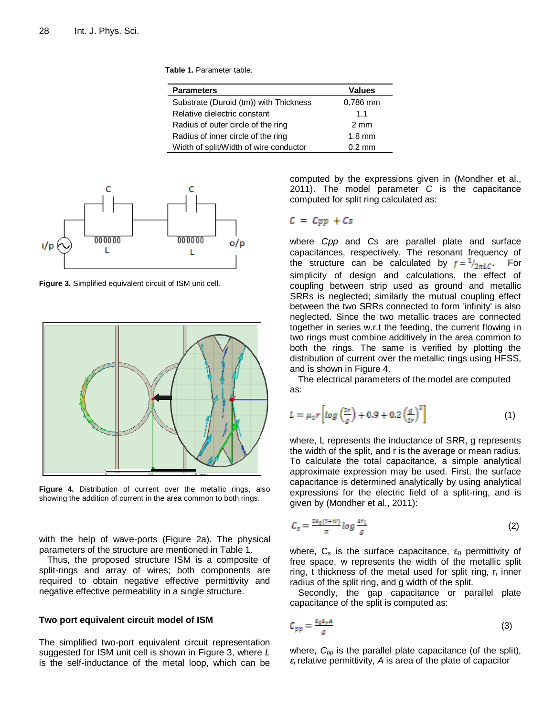**Table 1.** Parameter table.

| <b>Parameters</b>                      | <b>Values</b>    |
|----------------------------------------|------------------|
| Substrate (Duroid (tm)) with Thickness | $0.786$ mm       |
| Relative dielectric constant           | 1.1              |
| Radius of outer circle of the ring     | $2 \text{ mm}$   |
| Radius of inner circle of the ring     | $1.8 \text{ mm}$ |
| Width of split/Width of wire conductor | $0.2 \text{ mm}$ |



**Figure 3.** Simplified equivalent circuit of ISM unit cell.



**Figure 4.** Distribution of current over the metallic rings, also showing the addition of current in the area common to both rings.

with the help of wave-ports (Figure 2a). The physical parameters of the structure are mentioned in Table 1.

Thus, the proposed structure ISM is a composite of split-rings and array of wires; both components are required to obtain negative effective permittivity and negative effective permeability in a single structure.

#### **Two port equivalent circuit model of ISM**

The simplified two-port equivalent circuit representation suggested for ISM unit cell is shown in Figure 3, where *L*  is the self-inductance of the metal loop, which can be computed by the expressions given in (Mondher et al., 2011). The model parameter *C* is the capacitance computed for split ring calculated as:

# $C = Cpp + Cs$

where *Cpp* and *Cs* are parallel plate and surface capacitances, respectively. The resonant frequency of the structure can be calculated by  $f = \frac{1}{2\pi LC}$ . For simplicity of design and calculations, the effect of coupling between strip used as ground and metallic SRRs is neglected; similarly the mutual coupling effect between the two SRRs connected to form 'infinity' is also neglected. Since the two metallic traces are connected together in series w.r.t the feeding, the current flowing in two rings must combine additively in the area common to both the rings. The same is verified by plotting the distribution of current over the metallic rings using HFSS, and is shown in Figure 4.

The electrical parameters of the model are computed as:

$$
L = \mu_0 r \left[ \log \left( \frac{2r}{g} \right) + 0.9 + 0.2 \left( \frac{g}{2r} \right)^2 \right] \tag{1}
$$

where, L represents the inductance of SRR, g represents the width of the split, and r is the average or mean radius. To calculate the total capacitance, a simple analytical approximate expression may be used. First, the surface capacitance is determined analytically by using analytical expressions for the electric field of a split-ring, and is given by (Mondher et al., 2011):

$$
C_s = \frac{2\varepsilon_0(t+w)}{\pi} \log \frac{4r_i}{g} \tag{2}
$$

where,  $C_s$  is the surface capacitance,  $\varepsilon_0$  permittivity of free space, w represents the width of the metallic split ring, t thickness of the metal used for split ring,  $r_i$  inner radius of the split ring, and g width of the split.

Secondly, the gap capacitance or parallel plate capacitance of the split is computed as:

$$
C_{pp} = \frac{\varepsilon_0 \varepsilon_r A}{g} \tag{3}
$$

where, *Cpp* is the parallel plate capacitance (of the split), *ε<sup>r</sup>* relative permittivity, *A* is area of the plate of capacitor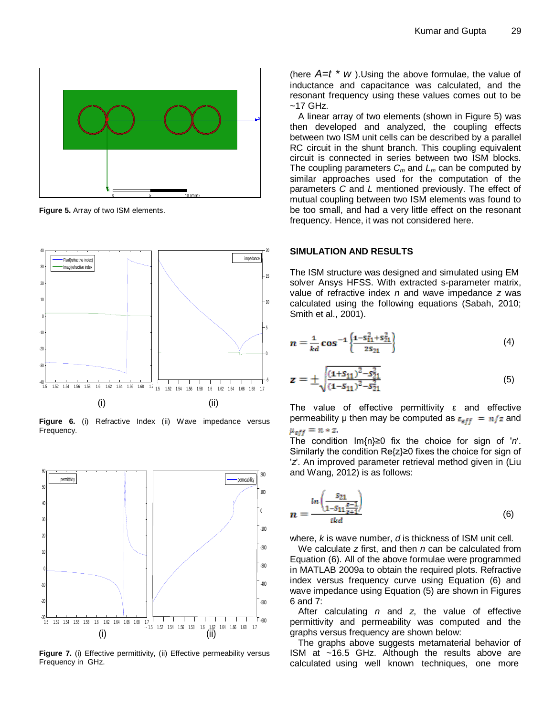

**Figure 5.** Array of two ISM elements.



**Figure 6.** (i) Refractive Index (ii) Wave impedance versus Frequency.



Figure 7. (i) Effective permittivity, (ii) Effective permeability versus Frequency in GHz.

(here  $A=t * w$ ). Using the above formulae, the value of inductance and capacitance was calculated, and the resonant frequency using these values comes out to be ~17 GHz.

A linear array of two elements (shown in Figure 5) was then developed and analyzed, the coupling effects between two ISM unit cells can be described by a parallel RC circuit in the shunt branch. This coupling equivalent circuit is connected in series between two ISM blocks. The coupling parameters  $C_m$  and  $L_m$  can be computed by similar approaches used for the computation of the parameters *C* and *L* mentioned previously. The effect of mutual coupling between two ISM elements was found to be too small, and had a very little effect on the resonant frequency. Hence, it was not considered here.

# **SIMULATION AND RESULTS**

The ISM structure was designed and simulated using EM solver Ansys HFSS. With extracted s-parameter matrix, value of refractive index *n* and wave impedance *z* was calculated using the following equations (Sabah, 2010; Smith et al., 2001).

$$
n = \frac{1}{kd} \cos^{-1} \left\{ \frac{1 - S_{11}^2 + S_{21}^2}{2S_{21}} \right\} \tag{4}
$$

$$
z = \pm \sqrt{\frac{(1 + s_{11})^2 - s_{21}^2}{(1 - s_{11})^2 - s_{21}^2}}
$$
(5)

The value of effective permittivity ε and effective permeability  $\mu$  then may be computed as  $\varepsilon_{eff} = n/z$  and  $\mu_{eff} = n * z.$ 

The condition Im{n}≥0 fix the choice for sign of '*n*'. Similarly the condition Re{z}≥0 fixes the choice for sign of '*z*'. An improved parameter retrieval method given in (Liu and Wang, 2012) is as follows:

$$
n = \frac{\ln\left(\frac{S_{21}}{1 - S_{11}\frac{z - 1}{z + 1}}\right)}{\mathrm{i}k d} \tag{6}
$$

where, *k* is wave number, *d* is thickness of ISM unit cell.

We calculate *z* first, and then *n* can be calculated from Equation (6). All of the above formulae were programmed in MATLAB 2009a to obtain the required plots. Refractive index versus frequency curve using Equation (6) and wave impedance using Equation (5) are shown in Figures 6 and 7:

After calculating *n* and *z*, the value of effective permittivity and permeability was computed and the graphs versus frequency are shown below:

The graphs above suggests metamaterial behavior of ISM at ~16.5 GHz. Although the results above are calculated using well known techniques, one more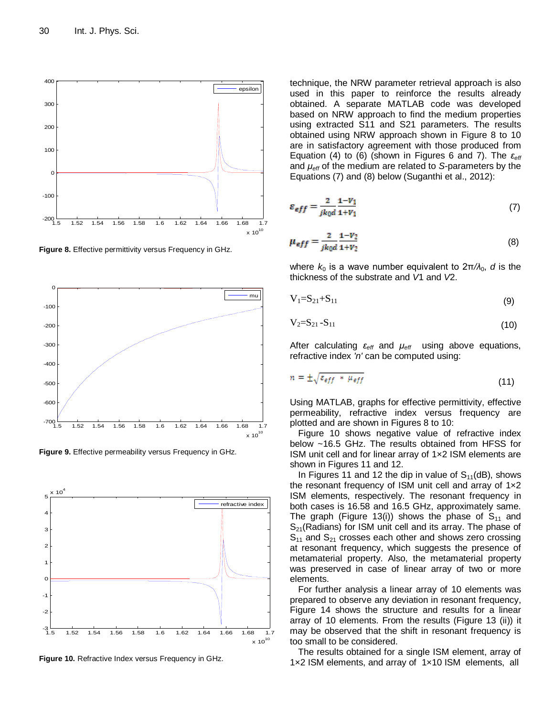

**Figure 8.** Effective permittivity versus Frequency in GHz.



**Figure 9.** Effective permeability versus Frequency in GHz.



**Figure 10.** Refractive Index versus Frequency in GHz.

technique, the NRW parameter retrieval approach is also used in this paper to reinforce the results already obtained. A separate MATLAB code was developed based on NRW approach to find the medium properties using extracted S11 and S21 parameters. The results obtained using NRW approach shown in Figure 8 to 10 are in satisfactory agreement with those produced from Equation (4) to (6) (shown in Figures 6 and 7). The *εeff* and *μeff* of the medium are related to *S*-parameters by the Equations (7) and (8) below (Suganthi et al., 2012):

$$
\varepsilon_{eff} = \frac{2}{jk_0 d} \frac{1 - V_1}{1 + V_1} \tag{7}
$$

$$
\mu_{eff} = \frac{2}{jk_0 d} \frac{1 - V_2}{1 + V_2} \tag{8}
$$

where  $k_0$  is a wave number equivalent to  $2\pi/\lambda_0$ , *d* is the thickness of the substrate and *V*1 and *V*2.

$$
V_1 = S_{21} + S_{11} \tag{9}
$$

$$
V_2 = S_{21} - S_{11} \tag{10}
$$

After calculating *εeff* and *μeff* using above equations, refractive index *'n'* can be computed using:

$$
n = \pm \sqrt{\varepsilon_{eff}} * \mu_{eff} \tag{11}
$$

Using MATLAB, graphs for effective permittivity, effective permeability, refractive index versus frequency are plotted and are shown in Figures 8 to 10:

Figure 10 shows negative value of refractive index below ~16.5 GHz. The results obtained from HFSS for ISM unit cell and for linear array of 1×2 ISM elements are shown in Figures 11 and 12.

In Figures 11 and 12 the dip in value of  $S_{11}(dB)$ , shows the resonant frequency of ISM unit cell and array of 1×2 ISM elements, respectively. The resonant frequency in both cases is 16.58 and 16.5 GHz, approximately same. The graph (Figure 13(i)) shows the phase of  $S_{11}$  and  $S_{21}$ (Radians) for ISM unit cell and its array. The phase of  $S_{11}$  and  $S_{21}$  crosses each other and shows zero crossing at resonant frequency, which suggests the presence of metamaterial property. Also, the metamaterial property was preserved in case of linear array of two or more elements.

For further analysis a linear array of 10 elements was prepared to observe any deviation in resonant frequency, Figure 14 shows the structure and results for a linear array of 10 elements. From the results (Figure 13 (ii)) it may be observed that the shift in resonant frequency is too small to be considered.

The results obtained for a single ISM element, array of 1×2 ISM elements, and array of 1×10 ISM elements, all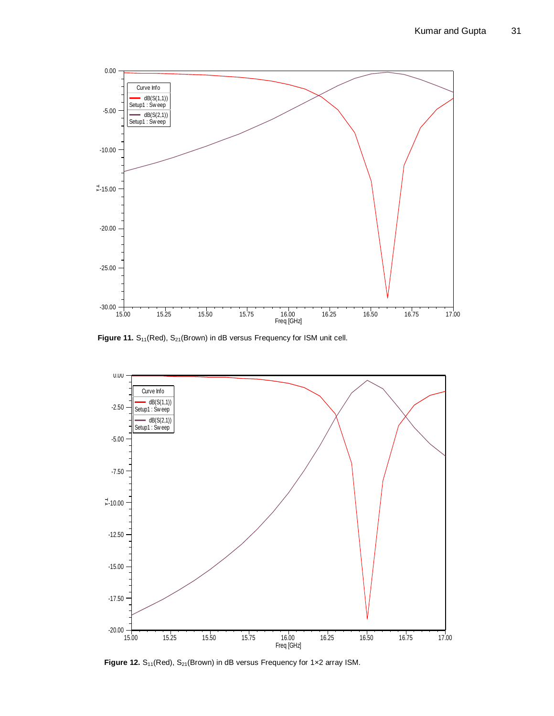

Figure 11. S<sub>11</sub>(Red), S<sub>21</sub>(Brown) in dB versus Frequency for ISM unit cell.



Figure 12. S<sub>11</sub>(Red), S<sub>21</sub>(Brown) in dB versus Frequency for 1x2 array ISM.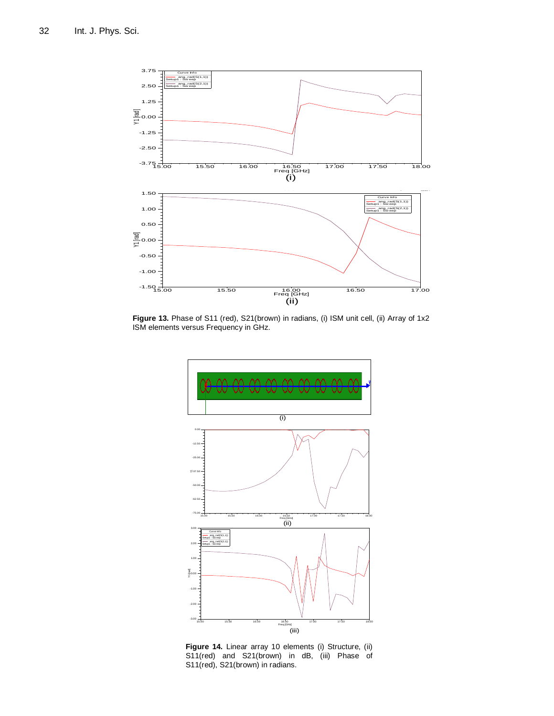

Figure 13. Phase of S11 (red), S21(brown) in radians, (i) ISM unit cell, (ii) Array of 1x2 ISM elements versus Frequency in GHz.



**Figure 14.** Linear array 10 elements (i) Structure, (ii) S11(red) and S21(brown) in dB, (iii) Phase of S11(red), S21(brown) in radians.